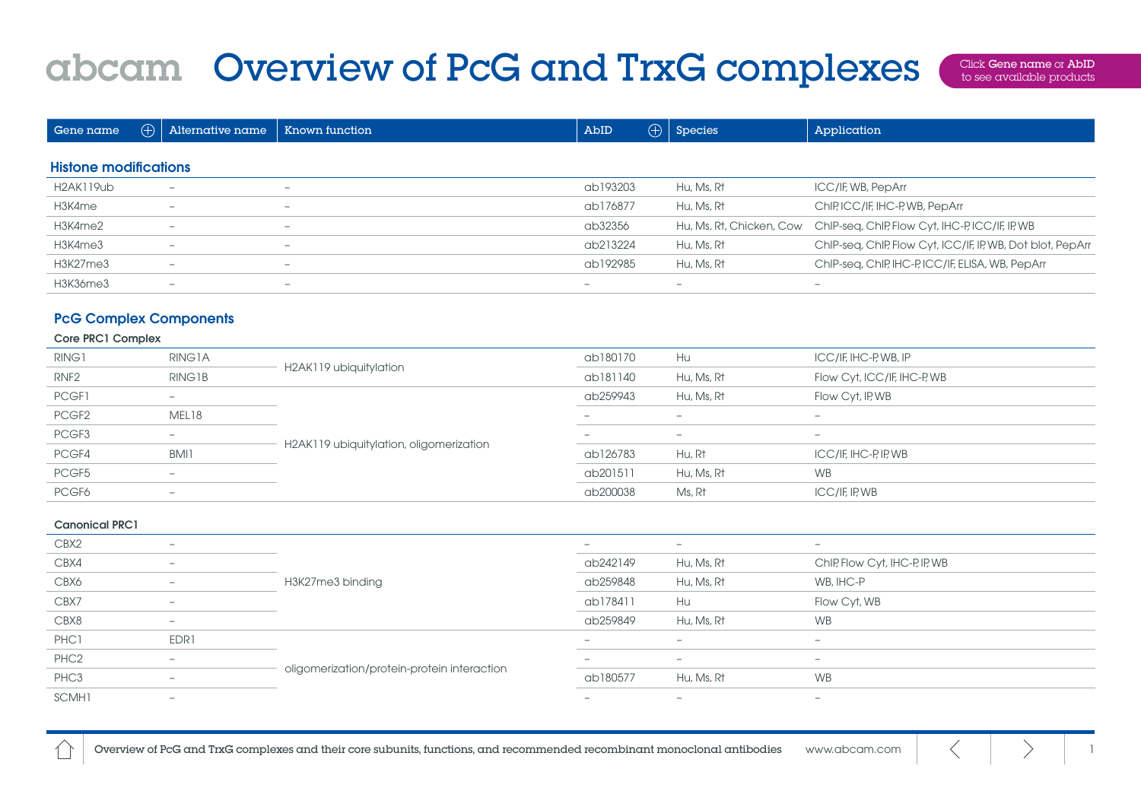## abcam Overview of PcG and TrxG complexes

Click Gene name or AbID to see available products

| Gene name                    | $\oplus$ 1 | Alternative name         | Known function           | AbID                     | $\bigoplus$   Species    | Application                                                |
|------------------------------|------------|--------------------------|--------------------------|--------------------------|--------------------------|------------------------------------------------------------|
| <b>Histone modifications</b> |            |                          |                          |                          |                          |                                                            |
|                              |            |                          |                          |                          |                          |                                                            |
| H2AK119ub                    |            | $\overline{\phantom{0}}$ | $\overline{\phantom{0}}$ | ab193203                 | Hu, Ms, Rt               | ICC/IF, WB, PepArr                                         |
| H3K4me                       |            | $\overline{\phantom{a}}$ | $\overline{\phantom{0}}$ | ab176877                 | Hu, Ms, Rt               | ChIP, ICC/IF, IHC-P, WB, PepArr                            |
| H3K4me2                      |            | $\overline{\phantom{a}}$ | $\overline{\phantom{0}}$ | ab32356                  | Hu, Ms, Rt, Chicken, Cow | ChIP-seq, ChIP, Flow Cyt, IHC-P, ICC/IF, IP, WB            |
| H3K4me3                      |            | $\overline{\phantom{a}}$ | $\overline{\phantom{0}}$ | ab213224                 | Hu, Ms, Rt               | ChIP-seq, ChIP, Flow Cyt, ICC/IF, IP, WB, Dot blot, PepArr |
| H3K27me3                     |            | $\overline{\phantom{0}}$ | $\overline{\phantom{0}}$ | ab192985                 | Hu, Ms, Rt               | ChIP-seq, ChIP, IHC-P, ICC/IF, ELISA, WB, PepArr           |
| H3K36me3                     |            | $\overline{\phantom{0}}$ | $\overline{\phantom{a}}$ | $\overline{\phantom{a}}$ | $\overline{\phantom{a}}$ | -                                                          |

## PcG Complex Components

## Core PRC1 Complex

| RING1             | RING1A                   | H2AK119 ubiquitylation                  | ab180170                 | Hu                       | ICC/IF, IHC-P, WB, IP       |
|-------------------|--------------------------|-----------------------------------------|--------------------------|--------------------------|-----------------------------|
| RNF <sub>2</sub>  | RING1B                   |                                         | ab181140                 | Hu, Ms, Rt               | Flow Cyt, ICC/IF, IHC-P, WB |
| PCGF1             | $\overline{\phantom{a}}$ | H2AK119 ubiquitylation, oligomerization | ab259943                 | Hu, Ms, Rt               | Flow Cyt, IP, WB            |
| PCGF <sub>2</sub> | MEL18                    |                                         | $\overline{\phantom{0}}$ | $\overline{\phantom{a}}$ | -                           |
| PCGF3             | $\overline{\phantom{a}}$ |                                         | $\overline{\phantom{a}}$ | -                        | $\overline{\phantom{0}}$    |
| PCGF4             | BMI1                     |                                         | ab126783                 | Hu, Rt                   | ICC/IF, IHC-P, IP, WB       |
| PCGF5             | $\overline{\phantom{a}}$ |                                         | ab201511                 | Hu, Ms, Rt               | <b>WB</b>                   |
| PCGF6             | $\overline{\phantom{a}}$ |                                         | ab200038                 | Ms, Rt                   | $ICC/IF$ IP, WB             |

## Canonical PRC1

| $\sim$ $\sim$ $\sim$ $\sim$ $\sim$ $\sim$ $\sim$ |                          |                                             |                          |                          |                               |  |
|--------------------------------------------------|--------------------------|---------------------------------------------|--------------------------|--------------------------|-------------------------------|--|
| CBX2                                             | $\overline{\phantom{0}}$ |                                             | $\overline{\phantom{a}}$ | $\sim$                   | $\overline{\phantom{0}}$      |  |
| CBX4                                             | $\overline{\phantom{0}}$ |                                             | ab242149                 | Hu, Ms, Rt               | ChIP, Flow Cyt, IHC-P, IP, WB |  |
| CBX6                                             | $\overline{\phantom{a}}$ | H3K27me3 binding                            | ab259848                 | Hu, Ms, Rt               | WB, IHC-P                     |  |
| CBX7                                             | $\overline{\phantom{0}}$ |                                             | ab178411                 | Hu                       | Flow Cyt, WB                  |  |
| CBX8                                             | $\overline{\phantom{0}}$ |                                             | ab259849                 | Hu, Ms, Rt               | <b>WB</b>                     |  |
| PHC1                                             | EDR1                     |                                             | -                        | $\overline{\phantom{0}}$ | $\overline{\phantom{0}}$      |  |
| PHC <sub>2</sub>                                 | $\overline{\phantom{a}}$ |                                             | -                        | $\overline{\phantom{0}}$ | $\overline{\phantom{0}}$      |  |
| PHC3                                             | $\overline{\phantom{a}}$ | oligomerization/protein-protein interaction | ab180577                 | Hu, Ms, Rt               | <b>WB</b>                     |  |
| SCMH1                                            | $\overline{\phantom{0}}$ |                                             | -                        | $\overline{\phantom{0}}$ | $\overline{\phantom{0}}$      |  |
|                                                  |                          |                                             |                          |                          |                               |  |

Overview of PcG and TrxG complexes and their core subunits, functions, and recommended recombinant monoclonal antibodies [www.abcam.com](https://www.abcam.com)  $\langle$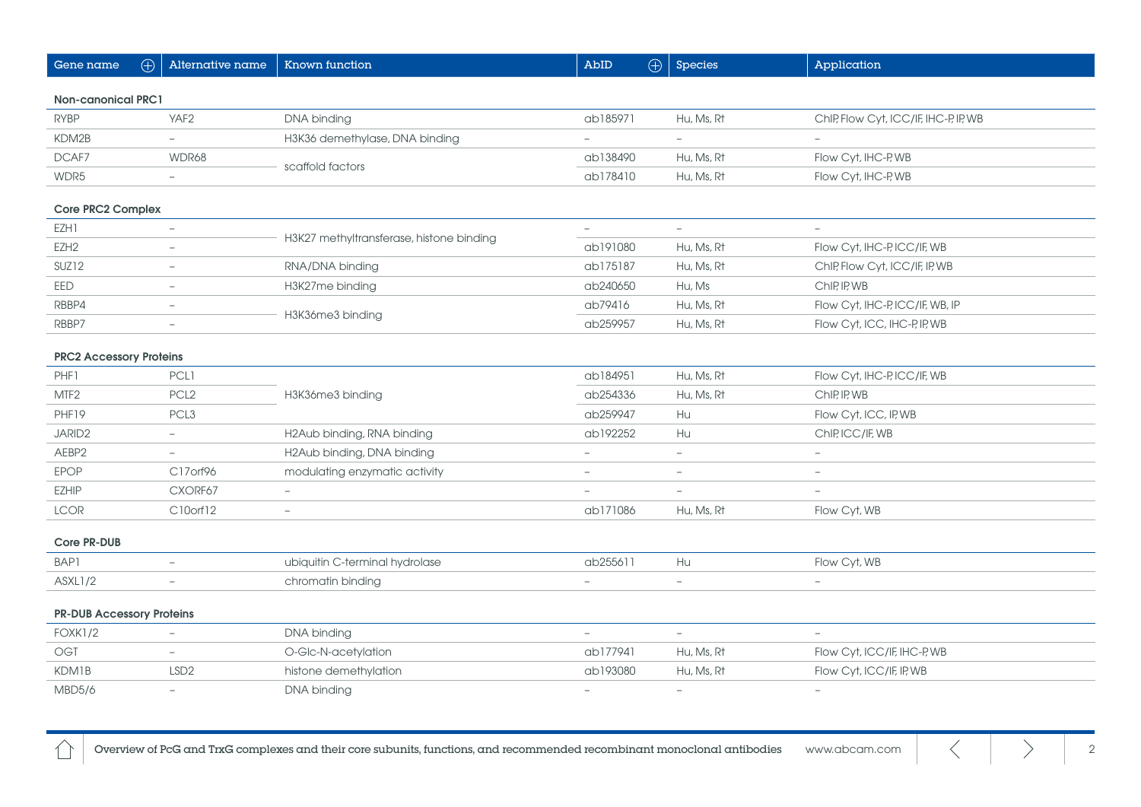| Gene name                        | $\bigoplus$ | Alternative name         | Known function                           | AbID                     | $\bigoplus$ | <b>Species</b>           | Application                           |  |
|----------------------------------|-------------|--------------------------|------------------------------------------|--------------------------|-------------|--------------------------|---------------------------------------|--|
| <b>Non-canonical PRC1</b>        |             |                          |                                          |                          |             |                          |                                       |  |
| <b>RYBP</b>                      |             | YAF <sub>2</sub>         | DNA binding                              | ab185971                 |             | Hu, Ms, Rt               | ChIP, Flow Cyt, ICC/IF, IHC-P, IP, WB |  |
| KDM2B                            |             | $\overline{\phantom{a}}$ | H3K36 demethylase, DNA binding           | $\overline{\phantom{a}}$ |             | ÷.                       | $\overline{\phantom{a}}$              |  |
| DCAF7                            |             | WDR68                    | scaffold factors                         | ab138490                 |             | Hu, Ms, Rt               | Flow Cyt, IHC-P, WB                   |  |
| WDR5                             |             | $\overline{\phantom{a}}$ |                                          | ab178410                 |             | Hu, Ms, Rt               | Flow Cyt, IHC-P, WB                   |  |
| Core PRC2 Complex                |             |                          |                                          |                          |             |                          |                                       |  |
| EZH1                             |             | $\overline{\phantom{m}}$ |                                          | $\overline{\phantom{m}}$ |             | $\overline{\phantom{a}}$ | $\overline{\phantom{a}}$              |  |
| EZH <sub>2</sub>                 |             | $\overline{\phantom{a}}$ | H3K27 methyltransferase, histone binding | ab191080                 |             | Hu, Ms, Rt               | Flow Cyt, IHC-P, ICC/IF, WB           |  |
| SUZ <sub>12</sub>                |             | $\overline{\phantom{a}}$ | RNA/DNA binding                          | ab175187                 |             | Hu, Ms, Rt               | ChIP, Flow Cyt, ICC/IF, IP, WB        |  |
| EED                              |             | $\equiv$                 | H3K27me binding                          | ab240650                 |             | Hu, Ms                   | ChIP, IP, WB                          |  |
| RBBP4                            |             |                          |                                          | ab79416                  |             | Hu, Ms, Rt               | Flow Cyt, IHC-P, ICC/IF, WB, IP       |  |
| RBBP7                            |             | $\overline{\phantom{a}}$ | H3K36me3 binding                         | ab259957                 |             | Hu, Ms, Rt               | Flow Cyt, ICC, IHC-P, IP, WB          |  |
| <b>PRC2 Accessory Proteins</b>   |             |                          |                                          |                          |             |                          |                                       |  |
| PHF1                             |             | <b>PCL1</b>              |                                          | ab184951                 |             | Hu, Ms, Rt               | Flow Cyt, IHC-P, ICC/IF, WB           |  |
| MTF <sub>2</sub>                 |             | PCL <sub>2</sub>         | H3K36me3 binding                         | ab254336                 |             | Hu, Ms, Rt               | ChIP, IP, WB                          |  |
| PHF19                            |             | PCL <sub>3</sub>         |                                          | ab259947                 |             | Hu                       | Flow Cyt, ICC, IP, WB                 |  |
| JARID <sub>2</sub>               |             | $\overline{\phantom{a}}$ | H2Aub binding, RNA binding               | ab192252                 |             | Hu                       | ChIP, ICC/IF, WB                      |  |
| AEBP2                            |             | $\overline{\phantom{a}}$ | H2Aub binding, DNA binding               | $\overline{\phantom{a}}$ |             | $\overline{\phantom{a}}$ | $\overline{\phantom{a}}$              |  |
| <b>EPOP</b>                      |             | C17orf96                 | modulating enzymatic activity            | $\sim$                   |             | ÷                        |                                       |  |
| <b>EZHIP</b>                     |             | CXORF67                  | $\equiv$                                 | $\overline{\phantom{a}}$ |             | $\overline{\phantom{a}}$ | $\overline{\phantom{m}}$              |  |
| <b>LCOR</b>                      |             | C10orf12                 | $\overline{\phantom{a}}$                 | ab171086                 |             | Hu, Ms, Rt               | Flow Cyt, WB                          |  |
| Core PR-DUB                      |             |                          |                                          |                          |             |                          |                                       |  |
| BAP1                             |             | $\overline{\phantom{a}}$ | ubiquitin C-terminal hydrolase           | ab255611                 |             | Hu                       | Flow Cyt, WB                          |  |
| ASXL1/2                          |             | $\overline{\phantom{a}}$ | chromatin binding                        | $\equiv$                 |             | $\overline{\phantom{0}}$ | $\!-$                                 |  |
| <b>PR-DUB Accessory Proteins</b> |             |                          |                                          |                          |             |                          |                                       |  |
| <b>FOXK1/2</b>                   |             | $\overline{\phantom{m}}$ | DNA binding                              | $\overline{\phantom{a}}$ |             | $\overline{\phantom{a}}$ | $\sim$                                |  |
| <b>OGT</b>                       |             | $\overline{\phantom{0}}$ | O-Glc-N-acetylation                      | ab177941                 |             | Hu, Ms, Rt               | Flow Cyt, ICC/IF, IHC-P, WB           |  |
| <b>KDM1B</b>                     |             | LSD <sub>2</sub>         | histone demethylation                    | ab193080                 |             | Hu, Ms, Rt               | Flow Cyt, ICC/IF, IP, WB              |  |
| MBD5/6                           |             |                          | DNA binding                              |                          |             | $\overline{\phantom{0}}$ |                                       |  |

Overview of PcG and TrxG complexes and their core subunits, functions, and recommended recombinant monoclonal antibodies [www.abcam.com](https://www.abcam.com)  $\langle$ 

 $\bigcirc$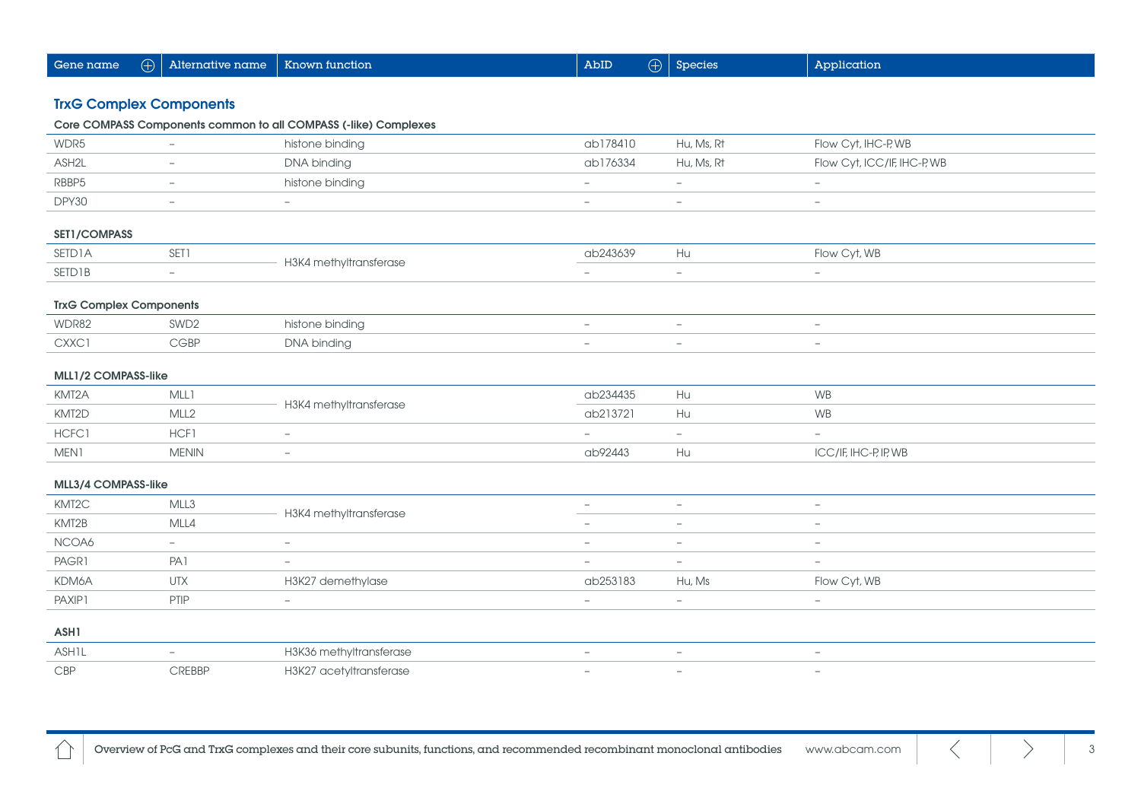| $\bigoplus$<br>Gene name       | Alternative name         | Known function                                                  | $\bigoplus$<br>AbID      | Species                  | Application                 |  |  |  |  |
|--------------------------------|--------------------------|-----------------------------------------------------------------|--------------------------|--------------------------|-----------------------------|--|--|--|--|
|                                |                          |                                                                 |                          |                          |                             |  |  |  |  |
| <b>TrxG Complex Components</b> |                          |                                                                 |                          |                          |                             |  |  |  |  |
|                                |                          | Core COMPASS Components common to all COMPASS (-like) Complexes |                          |                          |                             |  |  |  |  |
| WDR5                           |                          | histone binding                                                 | ab178410                 | Hu, Ms, Rt               | Flow Cyt, IHC-P, WB         |  |  |  |  |
| ASH2L                          | $\overline{\phantom{a}}$ | DNA binding                                                     | ab176334                 | Hu, Ms, Rt               | Flow Cyt, ICC/IF, IHC-P, WB |  |  |  |  |
| RBBP5                          | $\overline{\phantom{a}}$ | histone binding                                                 | $\overline{\phantom{a}}$ | $\overline{\phantom{0}}$ | $\overline{\phantom{a}}$    |  |  |  |  |
| DPY30                          | $\overline{\phantom{a}}$ | $\overline{\phantom{a}}$                                        | $\overline{\phantom{a}}$ | $\overline{\phantom{0}}$ | $\overline{\phantom{0}}$    |  |  |  |  |
| SET1/COMPASS                   |                          |                                                                 |                          |                          |                             |  |  |  |  |
| <b>SETD1A</b>                  | SET1                     | H3K4 methyltransferase                                          | ab243639                 | Hu                       | Flow Cyt, WB                |  |  |  |  |
| <b>SETD1B</b>                  | $-$                      |                                                                 |                          | L.                       | $\overline{\phantom{m}}$    |  |  |  |  |
| <b>TrxG Complex Components</b> |                          |                                                                 |                          |                          |                             |  |  |  |  |
| WDR82                          | SWD <sub>2</sub>         | histone binding                                                 | $\overline{\phantom{m}}$ | $\overline{\phantom{a}}$ | $\overline{\phantom{a}}$    |  |  |  |  |
| CXXC1                          | <b>CGBP</b>              | DNA binding                                                     | $\overline{\phantom{a}}$ | $\qquad \qquad -$        | $\qquad \qquad -$           |  |  |  |  |
|                                |                          |                                                                 |                          |                          |                             |  |  |  |  |
| MLL1/2 COMPASS-like            |                          |                                                                 |                          |                          |                             |  |  |  |  |
| KMT2A                          | MLL1                     | H3K4 methyltransferase                                          | ab234435                 | Hu                       | <b>WB</b>                   |  |  |  |  |
| KMT2D                          | MLL <sub>2</sub>         |                                                                 | ab213721                 | Hu                       | <b>WB</b>                   |  |  |  |  |
| HCFC1                          | HCF1                     | $\overline{\phantom{m}}$                                        | $\overline{\phantom{a}}$ | $\equiv$                 | $\equiv$                    |  |  |  |  |
| MEN1                           | <b>MENIN</b>             | $\equiv$                                                        | ab92443                  | Hu                       | ICC/IF, IHC-P, IP, WB       |  |  |  |  |
| MLL3/4 COMPASS-like            |                          |                                                                 |                          |                          |                             |  |  |  |  |
| KMT2C                          | MLL3                     | H3K4 methyltransferase                                          | $\overline{\phantom{a}}$ | $\overline{\phantom{a}}$ | $\overline{\phantom{a}}$    |  |  |  |  |
| KMT2B                          | MLL4                     |                                                                 | $\overline{\phantom{a}}$ | $\overline{a}$           |                             |  |  |  |  |
| NCOA6                          | $\overline{\phantom{a}}$ | $\overline{\phantom{a}}$                                        | $\overline{\phantom{a}}$ | $\overline{\phantom{0}}$ | $\qquad \qquad -$           |  |  |  |  |
| PAGR1                          | PA <sub>1</sub>          | $\overline{\phantom{m}}$                                        | $\overline{\phantom{a}}$ | $\overline{\phantom{a}}$ | $\overline{\phantom{a}}$    |  |  |  |  |
| KDM6A                          | <b>UTX</b>               | H3K27 demethylase                                               | ab253183                 | Hu, Ms                   | Flow Cyt, WB                |  |  |  |  |
| PAXIP1                         | PTIP                     | $\overline{\phantom{a}}$                                        | $\overline{a}$           | $\overline{\phantom{0}}$ | $-$                         |  |  |  |  |
| ASH1                           |                          |                                                                 |                          |                          |                             |  |  |  |  |
| <b>ASH1L</b>                   | $\overline{\phantom{0}}$ | H3K36 methyltransferase                                         | $\overline{a}$           | $\overline{\phantom{a}}$ | $\overline{\phantom{a}}$    |  |  |  |  |
| CBP                            | <b>CREBBP</b>            | H3K27 acetyltransferase                                         |                          | L.                       |                             |  |  |  |  |

 $\triangle$